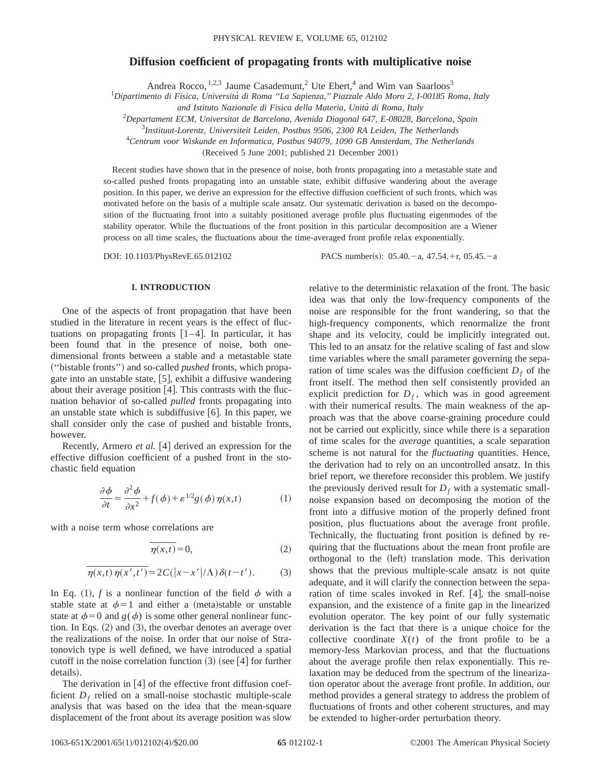# **Diffusion coefficient of propagating fronts with multiplicative noise**

Andrea Rocco, <sup>1,2,3</sup> Jaume Casademunt,<sup>2</sup> Ute Ebert,<sup>4</sup> and Wim van Saarloos<sup>3</sup>

1 *Dipartimento di Fisica, Universita` di Roma ''La Sapienza,'' Piazzale Aldo Moro 2, I-00185 Roma, Italy*

*and Istituto Nazionale di Fisica della Materia, Unita` di Roma, Italy*

2 *Departament ECM, Universitat de Barcelona, Avenida Diagonal 647, E-08028, Barcelona, Spain*

3 *Instituut-Lorentz, Universiteit Leiden, Postbus 9506, 2300 RA Leiden, The Netherlands*

4 *Centrum voor Wiskunde en Informatica, Postbus 94079, 1090 GB Amsterdam, The Netherlands*

 $(Received 5 June 2001; published 21 December 2001)$ 

Recent studies have shown that in the presence of noise, both fronts propagating into a metastable state and so-called pushed fronts propagating into an unstable state, exhibit diffusive wandering about the average position. In this paper, we derive an expression for the effective diffusion coefficient of such fronts, which was motivated before on the basis of a multiple scale ansatz. Our systematic derivation is based on the decomposition of the fluctuating front into a suitably positioned average profile plus fluctuating eigenmodes of the stability operator. While the fluctuations of the front position in this particular decomposition are a Wiener process on all time scales, the fluctuations about the time-averaged front profile relax exponentially.

DOI: 10.1103/PhysRevE.65.012102 PACS number(s): 05.40. - a, 47.54. + r, 05.45. - a

#### **I. INTRODUCTION**

One of the aspects of front propagation that have been studied in the literature in recent years is the effect of fluctuations on propagating fronts  $[1-4]$ . In particular, it has been found that in the presence of noise, both onedimensional fronts between a stable and a metastable state ~''bistable fronts''! and so-called *pushed* fronts, which propagate into an unstable state,  $[5]$ , exhibit a diffusive wandering about their average position  $[4]$ . This contrasts with the fluctuation behavior of so-called *pulled* fronts propagating into an unstable state which is subdiffusive  $[6]$ . In this paper, we shall consider only the case of pushed and bistable fronts, however.

Recently, Armero *et al.* [4] derived an expression for the effective diffusion coefficient of a pushed front in the stochastic field equation

$$
\frac{\partial \phi}{\partial t} = \frac{\partial^2 \phi}{\partial x^2} + f(\phi) + \varepsilon^{1/2} g(\phi) \eta(x, t)
$$
 (1)

with a noise term whose correlations are

$$
\overline{\eta(x,t)} = 0,\t(2)
$$

$$
\overline{\eta(x,t)\,\eta(x',t')} = 2\,C(|x-x'|/\Lambda)\,\delta(t-t').\tag{3}
$$

In Eq. (1), *f* is a nonlinear function of the field  $\phi$  with a stable state at  $\phi=1$  and either a (meta)stable or unstable state at  $\phi=0$  and  $g(\phi)$  is some other general nonlinear function. In Eqs.  $(2)$  and  $(3)$ , the overbar denotes an average over the realizations of the noise. In order that our noise of Stratonovich type is well defined, we have introduced a spatial cutoff in the noise correlation function  $(3)$  (see [4] for further details).

The derivation in  $[4]$  of the effective front diffusion coefficient  $D_f$  relied on a small-noise stochastic multiple-scale analysis that was based on the idea that the mean-square displacement of the front about its average position was slow relative to the deterministic relaxation of the front. The basic idea was that only the low-frequency components of the noise are responsible for the front wandering, so that the high-frequency components, which renormalize the front shape and its velocity, could be implicitly integrated out. This led to an ansatz for the relative scaling of fast and slow time variables where the small parameter governing the separation of time scales was the diffusion coefficient  $D_f$  of the front itself. The method then self consistently provided an explicit prediction for  $D_f$ , which was in good agreement with their numerical results. The main weakness of the approach was that the above coarse-graining procedure could not be carried out explicitly, since while there is a separation of time scales for the *average* quantities, a scale separation scheme is not natural for the *fluctuating* quantities. Hence, the derivation had to rely on an uncontrolled ansatz. In this brief report, we therefore reconsider this problem. We justify the previously derived result for  $D_f$  with a systematic smallnoise expansion based on decomposing the motion of the front into a diffusive motion of the properly defined front position, plus fluctuations about the average front profile. Technically, the fluctuating front position is defined by requiring that the fluctuations about the mean front profile are orthogonal to the  $(left)$  translation mode. This derivation shows that the previous multiple-scale ansatz is not quite adequate, and it will clarify the connection between the separation of time scales invoked in Ref.  $[4]$ , the small-noise expansion, and the existence of a finite gap in the linearized evolution operator. The key point of our fully systematic derivation is the fact that there is a unique choice for the collective coordinate  $X(t)$  of the front profile to be a memory-less Markovian process, and that the fluctuations about the average profile then relax exponentially. This relaxation may be deduced from the spectrum of the linearization operator about the average front profile. In addition, our method provides a general strategy to address the problem of fluctuations of fronts and other coherent structures, and may be extended to higher-order perturbation theory.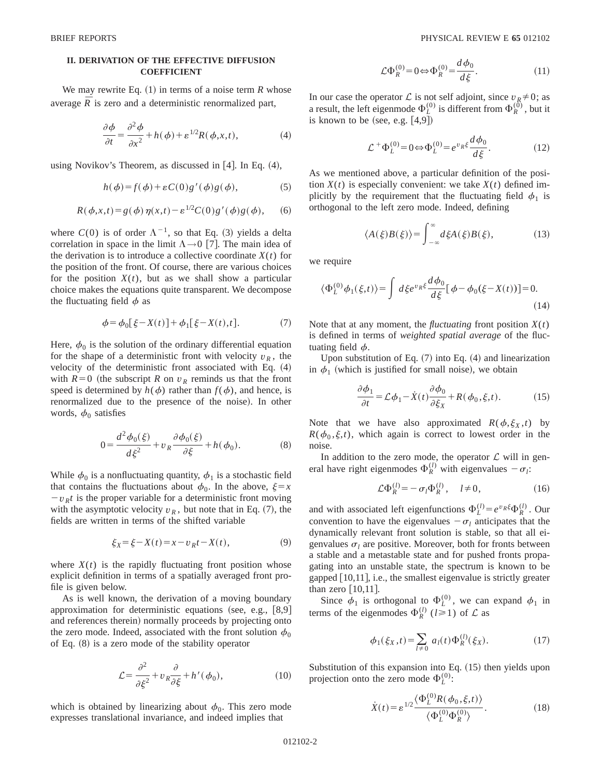## **II. DERIVATION OF THE EFFECTIVE DIFFUSION COEFFICIENT**

We may rewrite Eq.  $(1)$  in terms of a noise term  $R$  whose average  $\overline{R}$  is zero and a deterministic renormalized part,

$$
\frac{\partial \phi}{\partial t} = \frac{\partial^2 \phi}{\partial x^2} + h(\phi) + \varepsilon^{1/2} R(\phi, x, t),\tag{4}
$$

using Novikov's Theorem, as discussed in  $[4]$ . In Eq.  $(4)$ ,

$$
h(\phi) = f(\phi) + \varepsilon C(0)g'(\phi)g(\phi), \tag{5}
$$

$$
R(\phi, x, t) = g(\phi) \eta(x, t) - \varepsilon^{1/2} C(0) g'(\phi) g(\phi),
$$
 (6)

where  $C(0)$  is of order  $\Lambda^{-1}$ , so that Eq. (3) yields a delta correlation in space in the limit  $\Lambda \rightarrow 0$  [7]. The main idea of the derivation is to introduce a collective coordinate  $X(t)$  for the position of the front. Of course, there are various choices for the position  $X(t)$ , but as we shall show a particular choice makes the equations quite transparent. We decompose the fluctuating field  $\phi$  as

$$
\phi = \phi_0[\xi - X(t)] + \phi_1[\xi - X(t), t].\tag{7}
$$

Here,  $\phi_0$  is the solution of the ordinary differential equation for the shape of a deterministic front with velocity  $v_R$ , the velocity of the deterministic front associated with Eq.  $(4)$ with  $R=0$  (the subscript *R* on  $v_R$  reminds us that the front speed is determined by  $h(\phi)$  rather than  $f(\phi)$ , and hence, is renormalized due to the presence of the noise). In other words,  $\phi_0$  satisfies

$$
0 = \frac{d^2 \phi_0(\xi)}{d\xi^2} + v_R \frac{\partial \phi_0(\xi)}{\partial \xi} + h(\phi_0).
$$
 (8)

While  $\phi_0$  is a nonfluctuating quantity,  $\phi_1$  is a stochastic field that contains the fluctuations about  $\phi_0$ . In the above,  $\xi = x$  $-v<sub>R</sub>t$  is the proper variable for a deterministic front moving with the asymptotic velocity  $v_R$ , but note that in Eq.  $(7)$ , the fields are written in terms of the shifted variable

$$
\xi_X = \xi - X(t) = x - v_R t - X(t),\tag{9}
$$

where  $X(t)$  is the rapidly fluctuating front position whose explicit definition in terms of a spatially averaged front profile is given below.

As is well known, the derivation of a moving boundary approximation for deterministic equations (see, e.g.,  $[8,9]$ ) and references therein) normally proceeds by projecting onto the zero mode. Indeed, associated with the front solution  $\phi_0$ of Eq.  $(8)$  is a zero mode of the stability operator

$$
\mathcal{L} = \frac{\partial^2}{\partial \xi^2} + v_R \frac{\partial}{\partial \xi} + h'(\phi_0),\tag{10}
$$

which is obtained by linearizing about  $\phi_0$ . This zero mode expresses translational invariance, and indeed implies that

$$
\mathcal{L}\Phi_R^{(0)} = 0 \Leftrightarrow \Phi_R^{(0)} = \frac{d\phi_0}{d\xi}.
$$
 (11)

In our case the operator  $\mathcal L$  is not self adjoint, since  $v_R \neq 0$ ; as a result, the left eigenmode  $\Phi_L^{(0)}$  is different from  $\Phi_R^{(0)}$ , but it is known to be (see, e.g.  $[4,9]$ )

$$
\mathcal{L}^+ \Phi_L^{(0)} = 0 \Leftrightarrow \Phi_L^{(0)} = e^{v_R \xi} \frac{d\phi_0}{d\xi}.
$$
 (12)

As we mentioned above, a particular definition of the position  $X(t)$  is especially convenient: we take  $X(t)$  defined implicitly by the requirement that the fluctuating field  $\phi_1$  is orthogonal to the left zero mode. Indeed, defining

$$
\langle A(\xi)B(\xi)\rangle = \int_{-\infty}^{\infty} d\xi A(\xi)B(\xi),\tag{13}
$$

we require

$$
\langle \Phi_L^{(0)} \phi_1(\xi, t) \rangle = \int d\xi e^{v_R \xi} \frac{d\phi_0}{d\xi} [\phi - \phi_0(\xi - X(t))] = 0.
$$
\n(14)

Note that at any moment, the *fluctuating* front position  $X(t)$ is defined in terms of *weighted spatial average* of the fluctuating field  $\phi$ .

Upon substitution of Eq.  $(7)$  into Eq.  $(4)$  and linearization in  $\phi_1$  (which is justified for small noise), we obtain

$$
\frac{\partial \phi_1}{\partial t} = \mathcal{L}\phi_1 - \dot{X}(t)\frac{\partial \phi_0}{\partial \xi_X} + R(\phi_0, \xi, t). \tag{15}
$$

Note that we have also approximated  $R(\phi, \xi_X, t)$  by  $R(\phi_0, \xi, t)$ , which again is correct to lowest order in the noise.

In addition to the zero mode, the operator  $\mathcal L$  will in general have right eigenmodes  $\Phi_R^{(l)}$  with eigenvalues  $-\sigma_l$ :

$$
\mathcal{L}\Phi_R^{(l)} = -\sigma_l \Phi_R^{(l)}, \quad l \neq 0,
$$
\n(16)

and with associated left eigenfunctions  $\Phi_L^{(l)} = e^{v_R \xi} \Phi_R^{(l)}$ . Our convention to have the eigenvalues  $-\sigma_l$  anticipates that the dynamically relevant front solution is stable, so that all eigenvalues  $\sigma_l$  are positive. Moreover, both for fronts between a stable and a metastable state and for pushed fronts propagating into an unstable state, the spectrum is known to be gapped  $[10,11]$ , i.e., the smallest eigenvalue is strictly greater than zero  $|10,11|$ .

Since  $\phi_1$  is orthogonal to  $\Phi_L^{(0)}$ , we can expand  $\phi_1$  in terms of the eigenmodes  $\Phi_R^{(l)}$  ( $l \ge 1$ ) of  $\mathcal L$  as

$$
\phi_1(\xi_X, t) = \sum_{l \neq 0} a_l(t) \Phi_R^{(l)}(\xi_X).
$$
 (17)

Substitution of this expansion into Eq.  $(15)$  then yields upon projection onto the zero mode  $\Phi_L^{(0)}$ :

$$
\dot{X}(t) = \varepsilon^{1/2} \frac{\langle \Phi_L^{(0)} R(\phi_0, \xi, t) \rangle}{\langle \Phi_L^{(0)} \Phi_R^{(0)} \rangle}.
$$
\n(18)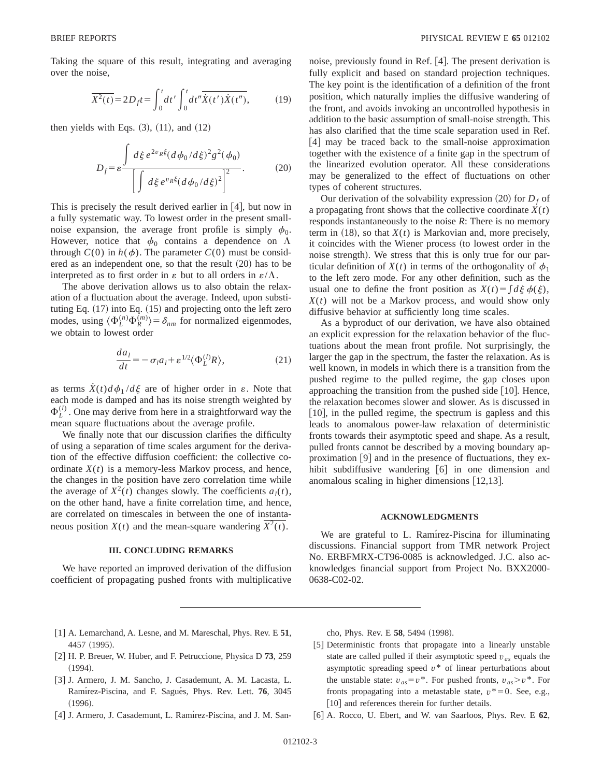Taking the square of this result, integrating and averaging over the noise,

$$
\overline{X^2(t)} = 2D_f t = \int_0^t dt' \int_0^t dt'' \overline{\dot{X}(t')\dot{X}(t'')},
$$
 (19)

then yields with Eqs.  $(3)$ ,  $(11)$ , and  $(12)$ 

$$
D_f = \varepsilon \frac{\int d\xi \, e^{2v_R \xi} (d\phi_0 / d\xi)^2 g^2(\phi_0)}{\left[ \int d\xi \, e^{v_R \xi} (d\phi_0 / d\xi)^2 \right]^2}.
$$
 (20)

This is precisely the result derived earlier in  $|4|$ , but now in a fully systematic way. To lowest order in the present smallnoise expansion, the average front profile is simply  $\phi_0$ . However, notice that  $\phi_0$  contains a dependence on  $\Lambda$ through  $C(0)$  in  $h(\phi)$ . The parameter  $C(0)$  must be considered as an independent one, so that the result  $(20)$  has to be interpreted as to first order in  $\varepsilon$  but to all orders in  $\varepsilon/\Lambda$ .

The above derivation allows us to also obtain the relaxation of a fluctuation about the average. Indeed, upon substituting Eq.  $(17)$  into Eq.  $(15)$  and projecting onto the left zero modes, using  $\langle \Phi_L^{(n)} \Phi_R^{(m)} \rangle = \delta_{nm}$  for normalized eigenmodes, we obtain to lowest order

$$
\frac{da_l}{dt} = -\sigma_l a_l + \varepsilon^{1/2} \langle \Phi_L^{(l)} R \rangle, \tag{21}
$$

as terms  $\dot{X}(t) d\phi_1 / d\xi$  are of higher order in  $\varepsilon$ . Note that each mode is damped and has its noise strength weighted by  $\Phi_L^{(l)}$ . One may derive from here in a straightforward way the mean square fluctuations about the average profile.

We finally note that our discussion clarifies the difficulty of using a separation of time scales argument for the derivation of the effective diffusion coefficient: the collective coordinate  $X(t)$  is a memory-less Markov process, and hence, the changes in the position have zero correlation time while the average of  $X^2(t)$  changes slowly. The coefficients  $a_1(t)$ , on the other hand, have a finite correlation time, and hence, are correlated on timescales in between the one of instantaneous position *X*(*t*) and the mean-square wandering  $\overline{X^2(t)}$ .

## **III. CONCLUDING REMARKS**

We have reported an improved derivation of the diffusion coefficient of propagating pushed fronts with multiplicative noise, previously found in Ref. [4]. The present derivation is fully explicit and based on standard projection techniques. The key point is the identification of a definition of the front position, which naturally implies the diffusive wandering of the front, and avoids invoking an uncontrolled hypothesis in addition to the basic assumption of small-noise strength. This has also clarified that the time scale separation used in Ref.  $[4]$  may be traced back to the small-noise approximation together with the existence of a finite gap in the spectrum of the linearized evolution operator. All these considerations may be generalized to the effect of fluctuations on other types of coherent structures.

Our derivation of the solvability expression  $(20)$  for  $D_f$  of a propagating front shows that the collective coordinate  $X(t)$ responds instantaneously to the noise *R*: There is no memory term in  $(18)$ , so that  $X(t)$  is Markovian and, more precisely, it coincides with the Wiener process (to lowest order in the noise strength). We stress that this is only true for our particular definition of  $X(t)$  in terms of the orthogonality of  $\phi_1$ to the left zero mode. For any other definition, such as the usual one to define the front position as  $X(t) = \int d\xi \phi(\xi)$ ,  $X(t)$  will not be a Markov process, and would show only diffusive behavior at sufficiently long time scales.

As a byproduct of our derivation, we have also obtained an explicit expression for the relaxation behavior of the fluctuations about the mean front profile. Not surprisingly, the larger the gap in the spectrum, the faster the relaxation. As is well known, in models in which there is a transition from the pushed regime to the pulled regime, the gap closes upon approaching the transition from the pushed side  $[10]$ . Hence, the relaxation becomes slower and slower. As is discussed in  $[10]$ , in the pulled regime, the spectrum is gapless and this leads to anomalous power-law relaxation of deterministic fronts towards their asymptotic speed and shape. As a result, pulled fronts cannot be described by a moving boundary approximation  $[9]$  and in the presence of fluctuations, they exhibit subdiffusive wandering [6] in one dimension and anomalous scaling in higher dimensions  $\lfloor 12,13 \rfloor$ .

## **ACKNOWLEDGMENTS**

We are grateful to L. Ramírez-Piscina for illuminating discussions. Financial support from TMR network Project No. ERBFMRX-CT96-0085 is acknowledged. J.C. also acknowledges financial support from Project No. BXX2000- 0638-C02-02.

- [1] A. Lemarchand, A. Lesne, and M. Mareschal, Phys. Rev. E 51, 4457 (1995).
- [2] H. P. Breuer, W. Huber, and F. Petruccione, Physica D 73, 259  $(1994).$
- [3] J. Armero, J. M. Sancho, J. Casademunt, A. M. Lacasta, L. Ramírez-Piscina, and F. Sagués, Phys. Rev. Lett. 76, 3045  $(1996).$
- [4] J. Armero, J. Casademunt, L. Ramírez-Piscina, and J. M. San-

cho, Phys. Rev. E 58, 5494 (1998).

- [5] Deterministic fronts that propagate into a linearly unstable state are called pulled if their asymptotic speed *vas* equals the asymptotic spreading speed *v*\* of linear perturbations about the unstable state:  $v_{as} = v^*$ . For pushed fronts,  $v_{as} > v^*$ . For fronts propagating into a metastable state,  $v^* = 0$ . See, e.g., [10] and references therein for further details.
- @6# A. Rocco, U. Ebert, and W. van Saarloos, Phys. Rev. E **62**,